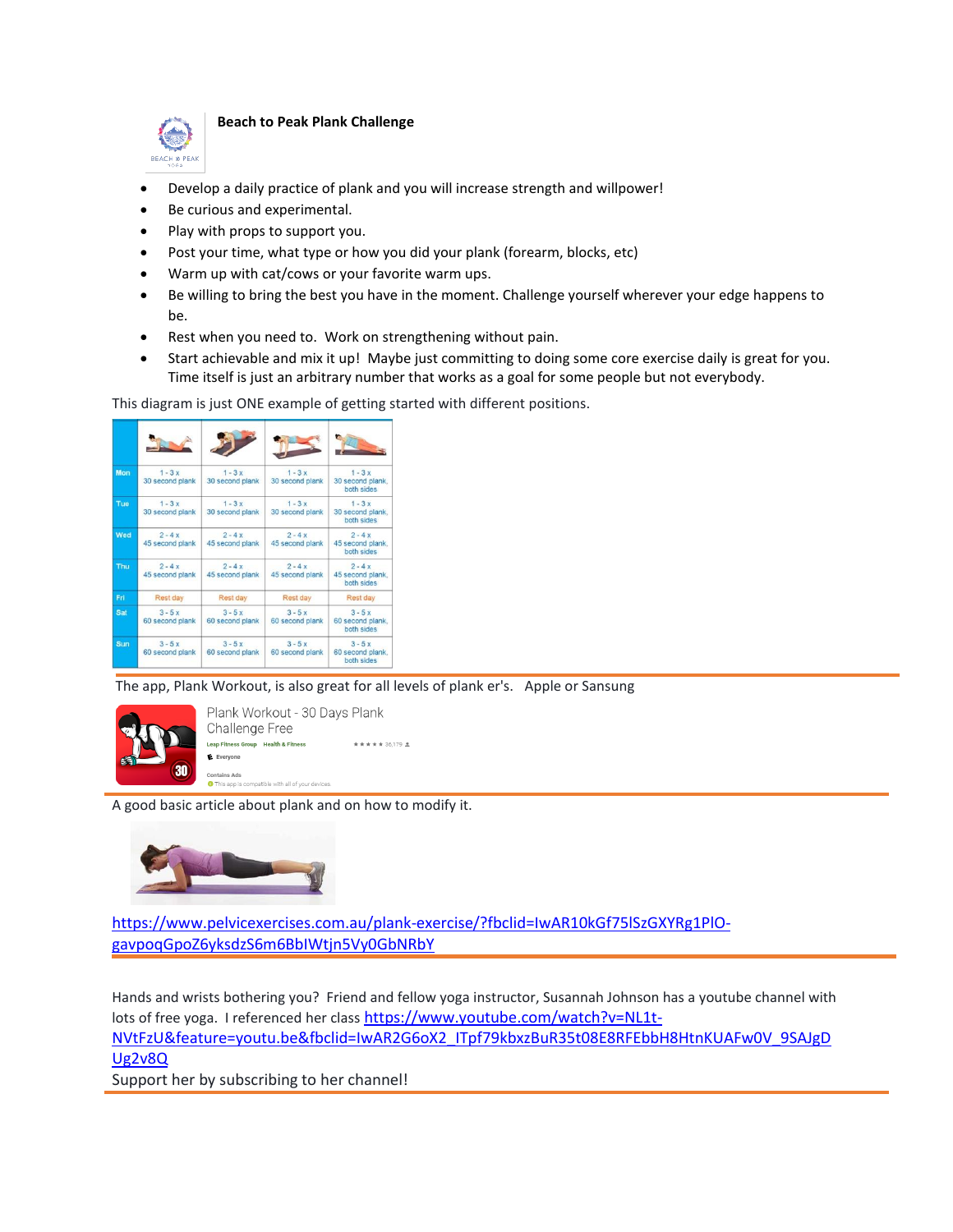

## **Beach to Peak Plank Challenge**

- Develop a daily practice of plank and you will increase strength and willpower!
- Be curious and experimental.
- Play with props to support you.
- Post your time, what type or how you did your plank (forearm, blocks, etc)
- Warm up with cat/cows or your favorite warm ups.
- Be willing to bring the best you have in the moment. Challenge yourself wherever your edge happens to be.
- Rest when you need to. Work on strengthening without pain.
- Start achievable and mix it up! Maybe just committing to doing some core exercise daily is great for you. Time itself is just an arbitrary number that works as a goal for some people but not everybody.

This diagram is just ONE example of getting started with different positions.



The app, Plank Workout, is also great for all levels of plank er's. Apple or Sansung



A good basic article about plank and on how to modify it.



[https://www.pelvicexercises.com.au/plank-exercise/?fbclid=IwAR10kGf75lSzGXYRg1PlO](https://www.pelvicexercises.com.au/plank-exercise/?fbclid=IwAR10kGf75lSzGXYRg1PlO-gavpoqGpoZ6yksdzS6m6BbIWtjn5Vy0GbNRbY)[gavpoqGpoZ6yksdzS6m6BbIWtjn5Vy0GbNRbY](https://www.pelvicexercises.com.au/plank-exercise/?fbclid=IwAR10kGf75lSzGXYRg1PlO-gavpoqGpoZ6yksdzS6m6BbIWtjn5Vy0GbNRbY)

Hands and wrists bothering you? Friend and fellow yoga instructor, Susannah Johnson has a youtube channel with lots of free yoga. I referenced her class [https://www.youtube.com/watch?v=NL1t-](https://www.youtube.com/watch?v=NL1t-NVtFzU&feature=youtu.be&fbclid=IwAR2G6oX2_ITpf79kbxzBuR35t08E8RFEbbH8HtnKUAFw0V_9SAJgDUg2v8Q)[NVtFzU&feature=youtu.be&fbclid=IwAR2G6oX2\\_ITpf79kbxzBuR35t08E8RFEbbH8HtnKUAFw0V\\_9SAJgD](https://www.youtube.com/watch?v=NL1t-NVtFzU&feature=youtu.be&fbclid=IwAR2G6oX2_ITpf79kbxzBuR35t08E8RFEbbH8HtnKUAFw0V_9SAJgDUg2v8Q) [Ug2v8Q](https://www.youtube.com/watch?v=NL1t-NVtFzU&feature=youtu.be&fbclid=IwAR2G6oX2_ITpf79kbxzBuR35t08E8RFEbbH8HtnKUAFw0V_9SAJgDUg2v8Q)

Support her by subscribing to her channel!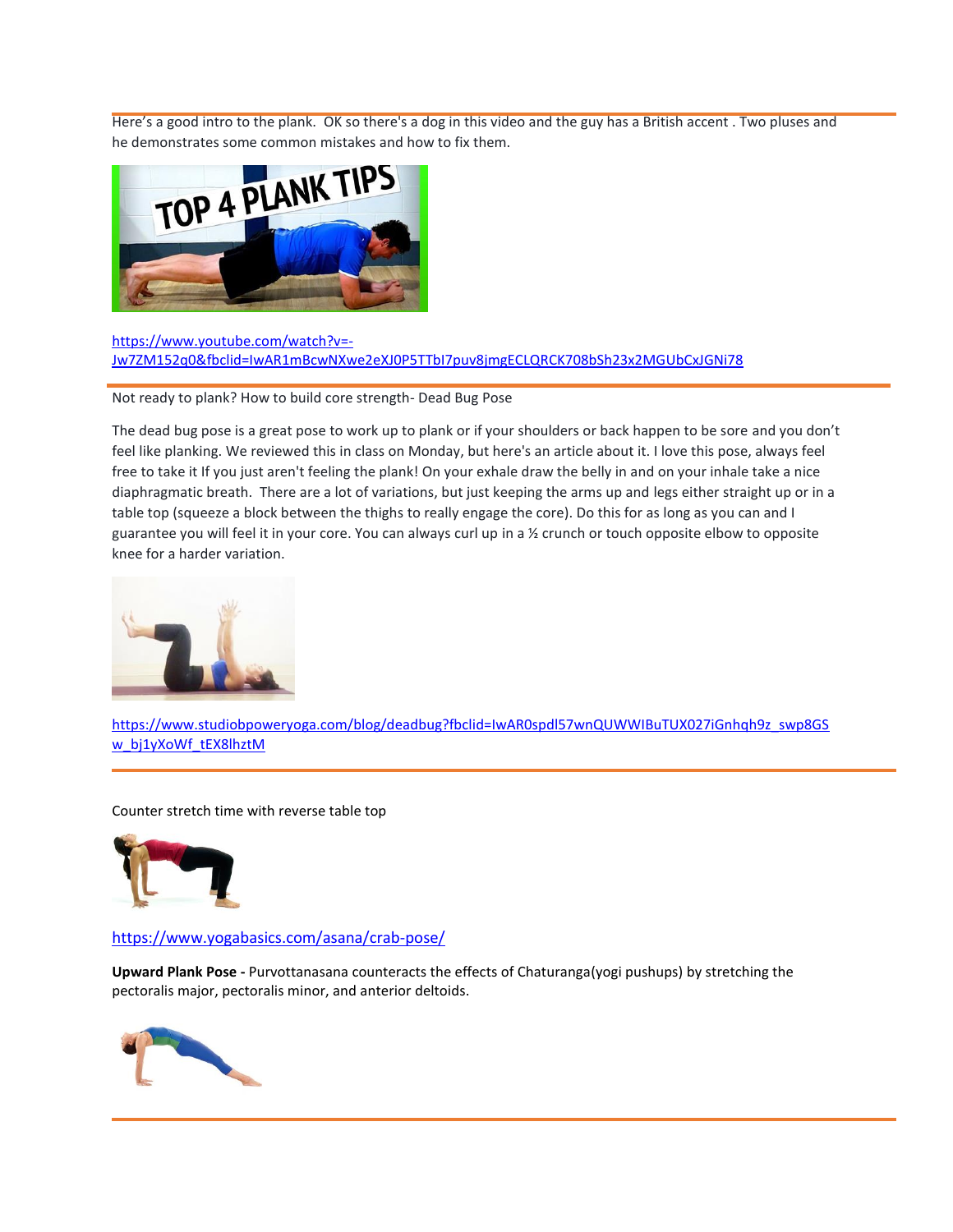Here's a good intro to the plank. OK so there's a dog in this video and the guy has a British accent . Two pluses and



## [https://www.youtube.com/watch?v=-](https://www.youtube.com/watch?v=-Jw7ZM152q0&fbclid=IwAR1mBcwNXwe2eXJ0P5TTbI7puv8jmgECLQRCK708bSh23x2MGUbCxJGNi78) [Jw7ZM152q0&fbclid=IwAR1mBcwNXwe2eXJ0P5TTbI7puv8jmgECLQRCK708bSh23x2MGUbCxJGNi78](https://www.youtube.com/watch?v=-Jw7ZM152q0&fbclid=IwAR1mBcwNXwe2eXJ0P5TTbI7puv8jmgECLQRCK708bSh23x2MGUbCxJGNi78)

Not ready to plank? How to build core strength- Dead Bug Pose

The dead bug pose is a great pose to work up to plank or if your shoulders or back happen to be sore and you don't feel like planking. We reviewed this in class on Monday, but here's an article about it. I love this pose, always feel free to take it If you just aren't feeling the plank! On your exhale draw the belly in and on your inhale take a nice diaphragmatic breath. There are a lot of variations, but just keeping the arms up and legs either straight up or in a table top (squeeze a block between the thighs to really engage the core). Do this for as long as you can and I guarantee you will feel it in your core. You can always curl up in a ½ crunch or touch opposite elbow to opposite knee for a harder variation.



[https://www.studiobpoweryoga.com/blog/deadbug?fbclid=IwAR0spdl57wnQUWWIBuTUX027iGnhqh9z\\_swp8GS](https://www.studiobpoweryoga.com/blog/deadbug?fbclid=IwAR0spdl57wnQUWWIBuTUX027iGnhqh9z_swp8GSw_bj1yXoWf_tEX8lhztM) [w\\_bj1yXoWf\\_tEX8lhztM](https://www.studiobpoweryoga.com/blog/deadbug?fbclid=IwAR0spdl57wnQUWWIBuTUX027iGnhqh9z_swp8GSw_bj1yXoWf_tEX8lhztM)

Counter stretch time with reverse table top



<https://www.yogabasics.com/asana/crab-pose/>

**Upward Plank Pose -** Purvottanasana counteracts the effects of Chaturanga(yogi pushups) by stretching the pectoralis major, pectoralis minor, and anterior deltoids.